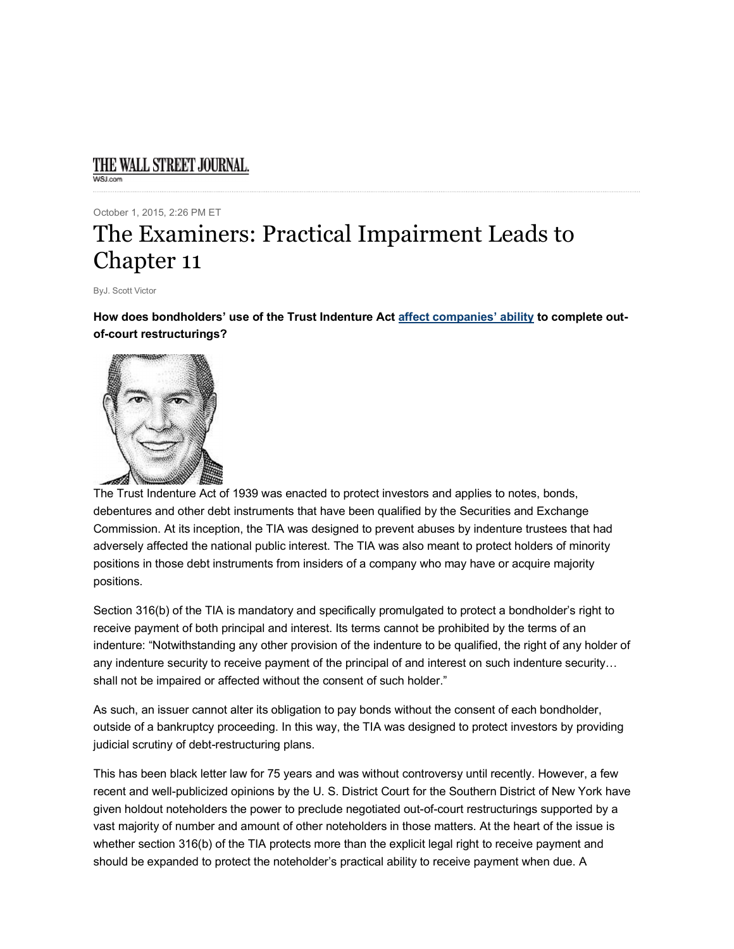## THE WALL STREET JOURNAL. M/SLower

October 1, 2015, 2:26 PM ET

## The Examiners: Practical Impairment Leads to Chapter 11

ByJ. Scott Victor

**How does bondholders' use of the Trust Indenture Act affect companies' ability to complete outof-court restructurings?**



The Trust Indenture Act of 1939 was enacted to protect investors and applies to notes, bonds, debentures and other debt instruments that have been qualified by the Securities and Exchange Commission. At its inception, the TIA was designed to prevent abuses by indenture trustees that had adversely affected the national public interest. The TIA was also meant to protect holders of minority positions in those debt instruments from insiders of a company who may have or acquire majority positions.

Section 316(b) of the TIA is mandatory and specifically promulgated to protect a bondholder's right to receive payment of both principal and interest. Its terms cannot be prohibited by the terms of an indenture: "Notwithstanding any other provision of the indenture to be qualified, the right of any holder of any indenture security to receive payment of the principal of and interest on such indenture security… shall not be impaired or affected without the consent of such holder."

As such, an issuer cannot alter its obligation to pay bonds without the consent of each bondholder, outside of a bankruptcy proceeding. In this way, the TIA was designed to protect investors by providing judicial scrutiny of debt-restructuring plans.

This has been black letter law for 75 years and was without controversy until recently. However, a few recent and well-publicized opinions by the U. S. District Court for the Southern District of New York have given holdout noteholders the power to preclude negotiated out-of-court restructurings supported by a vast majority of number and amount of other noteholders in those matters. At the heart of the issue is whether section 316(b) of the TIA protects more than the explicit legal right to receive payment and should be expanded to protect the noteholder's practical ability to receive payment when due. A